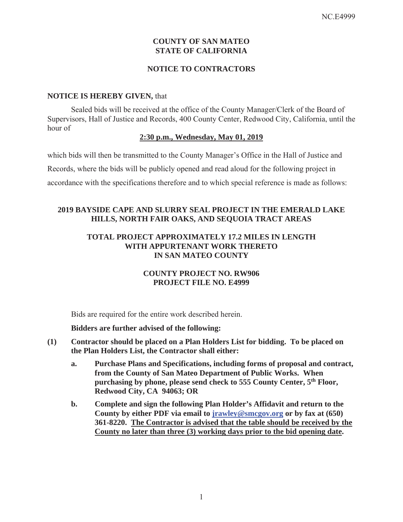# **COUNTY OF SAN MATEO STATE OF CALIFORNIA**

## **NOTICE TO CONTRACTORS**

#### **NOTICE IS HEREBY GIVEN,** that

Sealed bids will be received at the office of the County Manager/Clerk of the Board of Supervisors, Hall of Justice and Records, 400 County Center, Redwood City, California, until the hour of

#### **2:30 p.m., Wednesday, May 01, 2019**

which bids will then be transmitted to the County Manager's Office in the Hall of Justice and Records, where the bids will be publicly opened and read aloud for the following project in accordance with the specifications therefore and to which special reference is made as follows:

# **2019 BAYSIDE CAPE AND SLURRY SEAL PROJECT IN THE EMERALD LAKE HILLS, NORTH FAIR OAKS, AND SEQUOIA TRACT AREAS**

## **TOTAL PROJECT APPROXIMATELY 17.2 MILES IN LENGTH WITH APPURTENANT WORK THERETO IN SAN MATEO COUNTY**

# **COUNTY PROJECT NO. RW906 PROJECT FILE NO. E4999**

Bids are required for the entire work described herein.

**Bidders are further advised of the following:** 

- **(1) Contractor should be placed on a Plan Holders List for bidding. To be placed on the Plan Holders List, the Contractor shall either:** 
	- **a. Purchase Plans and Specifications, including forms of proposal and contract, from the County of San Mateo Department of Public Works. When purchasing by phone, please send check to 555 County Center, 5th Floor, Redwood City, CA 94063; OR**
	- **b. Complete and sign the following Plan Holder's Affidavit and return to the County by either PDF via email to jrawley@smcgov.org or by fax at (650) 361-8220. The Contractor is advised that the table should be received by the County no later than three (3) working days prior to the bid opening date.**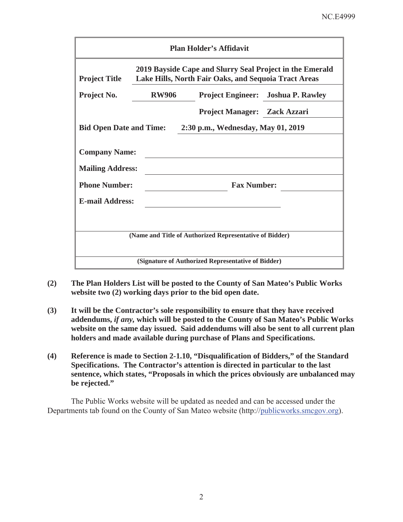| <b>Plan Holder's Affidavit</b>                                                                                                           |              |                                     |                                           |  |  |  |  |
|------------------------------------------------------------------------------------------------------------------------------------------|--------------|-------------------------------------|-------------------------------------------|--|--|--|--|
| 2019 Bayside Cape and Slurry Seal Project in the Emerald<br>Lake Hills, North Fair Oaks, and Sequoia Tract Areas<br><b>Project Title</b> |              |                                     |                                           |  |  |  |  |
| Project No.                                                                                                                              | <b>RW906</b> |                                     | <b>Project Engineer:</b> Joshua P. Rawley |  |  |  |  |
|                                                                                                                                          |              | <b>Project Manager: Zack Azzari</b> |                                           |  |  |  |  |
| <b>Bid Open Date and Time:</b><br>2:30 p.m., Wednesday, May 01, 2019                                                                     |              |                                     |                                           |  |  |  |  |
| <b>Company Name:</b><br><b>Mailing Address:</b>                                                                                          |              |                                     |                                           |  |  |  |  |
| <b>Phone Number:</b>                                                                                                                     |              | <b>Fax Number:</b>                  |                                           |  |  |  |  |
| <b>E-mail Address:</b>                                                                                                                   |              |                                     |                                           |  |  |  |  |
|                                                                                                                                          |              |                                     |                                           |  |  |  |  |
| (Name and Title of Authorized Representative of Bidder)                                                                                  |              |                                     |                                           |  |  |  |  |
| (Signature of Authorized Representative of Bidder)                                                                                       |              |                                     |                                           |  |  |  |  |

- **(2) The Plan Holders List will be posted to the County of San Mateo's Public Works website two (2) working days prior to the bid open date.**
- **(3) It will be the Contractor's sole responsibility to ensure that they have received addendums,** *if any,* **which will be posted to the County of San Mateo's Public Works website on the same day issued. Said addendums will also be sent to all current plan holders and made available during purchase of Plans and Specifications.**
- **(4) Reference is made to Section 2-1.10, "Disqualification of Bidders," of the Standard Specifications. The Contractor's attention is directed in particular to the last sentence, which states, "Proposals in which the prices obviously are unbalanced may be rejected."**

The Public Works website will be updated as needed and can be accessed under the Departments tab found on the County of San Mateo website (http://publicworks.smcgov.org).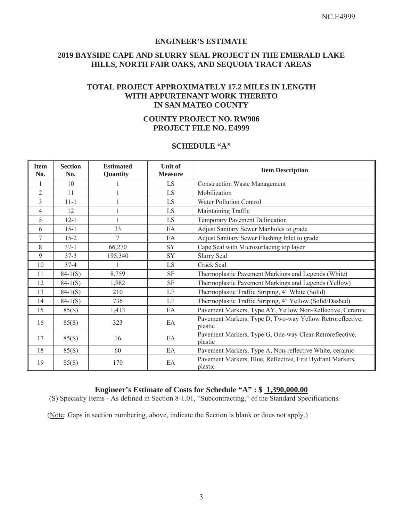#### **ENGINEER'S ESTIMATE**

### **2019 BAYSIDE CAPE AND SLURRY SEAL PROJECT IN THE EMERALD LAKE HILLS, NORTH FAIR OAKS, AND SEQUOIA TRACT AREAS**

## **TOTAL PROJECT APPROXIMATELY 17.2 MILES IN LENGTH WITH APPURTENANT WORK THERETO IN SAN MATEO COUNTY**

### **COUNTY PROJECT NO. RW906 PROJECT FILE NO. E4999**

#### **SCHEDULE "A"**

| <b>Item</b><br>No. | <b>Section</b><br>No. | <b>Estimated</b><br>Quantity | <b>Unit of</b><br><b>Measure</b> | <b>Item Description</b>                                              |  |
|--------------------|-----------------------|------------------------------|----------------------------------|----------------------------------------------------------------------|--|
| 1                  | 10                    |                              | LS                               | <b>Construction Waste Management</b>                                 |  |
| $\overline{2}$     | 11                    |                              | LS                               | Mobilization                                                         |  |
| 3                  | $11 - 1$              |                              | LS                               | <b>Water Pollution Control</b>                                       |  |
| 4                  | 12                    |                              | LS                               | Maintaining Traffic                                                  |  |
| 5                  | $12 - 1$              |                              | LS.                              | Temporary Pavement Delineation                                       |  |
| 6                  | $15 - 1$              | 33                           | EA                               | Adjust Sanitary Sewer Manholes to grade                              |  |
| 7                  | $15 - 2$              | 7                            | EA                               | Adjust Sanitary Sewer Flushing Inlet to grade                        |  |
| 8                  | $37 - 1$              | 66,270                       | SY                               | Cape Seal with Microsurfacing top layer                              |  |
| 9                  | $37 - 3$              | 195,340                      | SY                               | <b>Slurry Seal</b>                                                   |  |
| 10                 | $37 - 4$              |                              | LS                               | Crack Seal                                                           |  |
| 11                 | $84-1(S)$             | 8,759                        | $\rm{SF}$                        | Thermoplastic Pavement Markings and Legends (White)                  |  |
| 12                 | $84-1(S)$             | 1,982                        | $\rm{SF}$                        | Thermoplastic Pavement Markings and Legends (Yellow)                 |  |
| 13                 | $84-1(S)$             | 210                          | LF                               | Thermoplastic Traffic Striping, 4" White (Solid)                     |  |
| 14                 | $84-1(S)$             | 736                          | LF                               | Thermoplastic Traffic Striping, 4" Yellow (Solid/Dashed)             |  |
| 15                 | 85(S)                 | 1,413                        | EA                               | Pavement Markers, Type AY, Yellow Non-Reflective, Ceramic            |  |
| 16                 | 85(S)                 | 323                          | EA                               | Pavement Markers, Type D, Two-way Yellow Retroreflective,<br>plastic |  |
| 17                 | 85(S)                 | 16                           | EA                               | Pavement Markers, Type G, One-way Clear Retroreflective,<br>plastic  |  |
| 18                 | 85(S)                 | 60                           | EA                               | Pavement Markers, Type A, Non-reflective White, ceramic              |  |
| 19                 | 85(S)                 | 170                          | EA                               | Pavement Markers, Blue, Reflective, Fire Hydrant Markers,<br>plastic |  |

# **Engineer's Estimate of Costs for Schedule "A" : \$ 1,390,000.00**

(S) Specialty Items - As defined in Section 8-1.01, "Subcontracting," of the Standard Specifications.

(Note: Gaps in section numbering, above, indicate the Section is blank or does not apply.)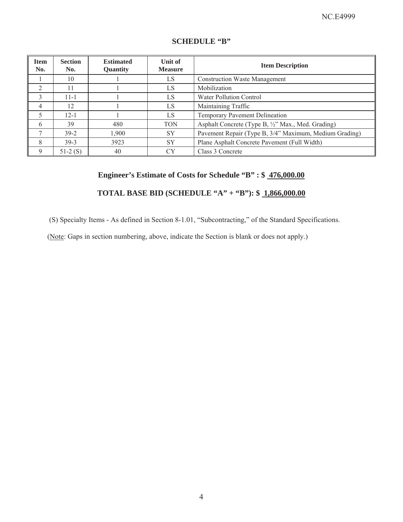| <b>Item</b><br>No. | <b>Section</b><br>No. | <b>Estimated</b><br><b>Quantity</b> | Unit of<br><b>Measure</b> | <b>Item Description</b>                                |  |
|--------------------|-----------------------|-------------------------------------|---------------------------|--------------------------------------------------------|--|
|                    | 10                    |                                     | LS                        | <b>Construction Waste Management</b>                   |  |
| $\overline{2}$     | 11                    |                                     | LS                        | Mobilization                                           |  |
| 3                  | $11 - 1$              |                                     | LS                        | Water Pollution Control                                |  |
| $\overline{4}$     | 12                    |                                     | LS                        | Maintaining Traffic                                    |  |
| 5                  | $12 - 1$              |                                     | LS                        | Temporary Pavement Delineation                         |  |
| 6                  | 39                    | 480                                 | <b>TON</b>                | Asphalt Concrete (Type B, 1/2" Max., Med. Grading)     |  |
|                    | $39-2$                | 1.900                               | <b>SY</b>                 | Pavement Repair (Type B, 3/4" Maximum, Medium Grading) |  |
| 8                  | $39-3$                | 3923                                | <b>SY</b>                 | Plane Asphalt Concrete Pavement (Full Width)           |  |
| 9                  | $51-2(S)$             | 40                                  | CY                        | Class 3 Concrete                                       |  |

# **SCHEDULE "B"**

# **Engineer's Estimate of Costs for Schedule "B" : \$ 476,000.00**

# **TOTAL BASE BID (SCHEDULE "A" + "B"): \$ 1,866,000.00**

(S) Specialty Items - As defined in Section 8-1.01, "Subcontracting," of the Standard Specifications.

(Note: Gaps in section numbering, above, indicate the Section is blank or does not apply.)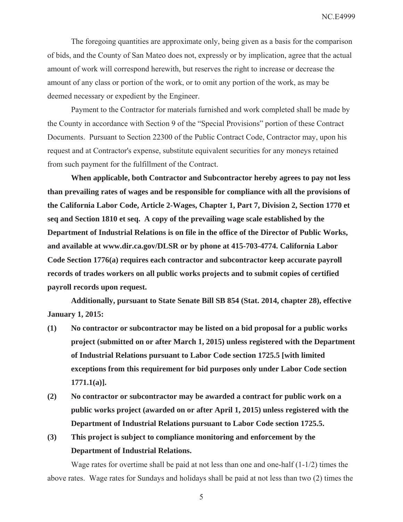NC.E4999

The foregoing quantities are approximate only, being given as a basis for the comparison of bids, and the County of San Mateo does not, expressly or by implication, agree that the actual amount of work will correspond herewith, but reserves the right to increase or decrease the amount of any class or portion of the work, or to omit any portion of the work, as may be deemed necessary or expedient by the Engineer.

Payment to the Contractor for materials furnished and work completed shall be made by the County in accordance with Section 9 of the "Special Provisions" portion of these Contract Documents. Pursuant to Section 22300 of the Public Contract Code, Contractor may, upon his request and at Contractor's expense, substitute equivalent securities for any moneys retained from such payment for the fulfillment of the Contract.

**When applicable, both Contractor and Subcontractor hereby agrees to pay not less than prevailing rates of wages and be responsible for compliance with all the provisions of the California Labor Code, Article 2-Wages, Chapter 1, Part 7, Division 2, Section 1770 et seq and Section 1810 et seq. A copy of the prevailing wage scale established by the Department of Industrial Relations is on file in the office of the Director of Public Works, and available at www.dir.ca.gov/DLSR or by phone at 415-703-4774. California Labor Code Section 1776(a) requires each contractor and subcontractor keep accurate payroll records of trades workers on all public works projects and to submit copies of certified payroll records upon request.** 

**Additionally, pursuant to State Senate Bill SB 854 (Stat. 2014, chapter 28), effective January 1, 2015:** 

- **(1) No contractor or subcontractor may be listed on a bid proposal for a public works project (submitted on or after March 1, 2015) unless registered with the Department of Industrial Relations pursuant to Labor Code section 1725.5 [with limited exceptions from this requirement for bid purposes only under Labor Code section 1771.1(a)].**
- **(2) No contractor or subcontractor may be awarded a contract for public work on a public works project (awarded on or after April 1, 2015) unless registered with the Department of Industrial Relations pursuant to Labor Code section 1725.5.**
- **(3) This project is subject to compliance monitoring and enforcement by the Department of Industrial Relations.**

Wage rates for overtime shall be paid at not less than one and one-half  $(1-1/2)$  times the above rates. Wage rates for Sundays and holidays shall be paid at not less than two (2) times the

5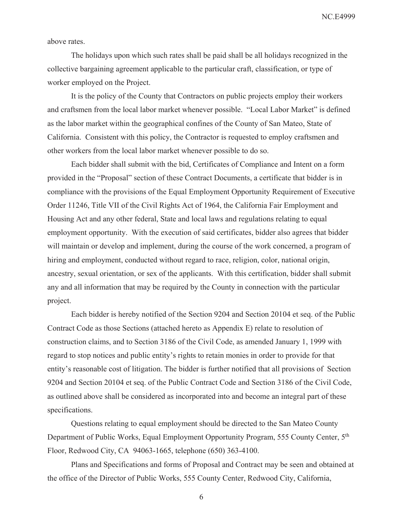NC.E4999

above rates.

The holidays upon which such rates shall be paid shall be all holidays recognized in the collective bargaining agreement applicable to the particular craft, classification, or type of worker employed on the Project.

It is the policy of the County that Contractors on public projects employ their workers and craftsmen from the local labor market whenever possible. "Local Labor Market" is defined as the labor market within the geographical confines of the County of San Mateo, State of California. Consistent with this policy, the Contractor is requested to employ craftsmen and other workers from the local labor market whenever possible to do so.

Each bidder shall submit with the bid, Certificates of Compliance and Intent on a form provided in the "Proposal" section of these Contract Documents, a certificate that bidder is in compliance with the provisions of the Equal Employment Opportunity Requirement of Executive Order 11246, Title VII of the Civil Rights Act of 1964, the California Fair Employment and Housing Act and any other federal, State and local laws and regulations relating to equal employment opportunity. With the execution of said certificates, bidder also agrees that bidder will maintain or develop and implement, during the course of the work concerned, a program of hiring and employment, conducted without regard to race, religion, color, national origin, ancestry, sexual orientation, or sex of the applicants. With this certification, bidder shall submit any and all information that may be required by the County in connection with the particular project.

Each bidder is hereby notified of the Section 9204 and Section 20104 et seq. of the Public Contract Code as those Sections (attached hereto as Appendix E) relate to resolution of construction claims, and to Section 3186 of the Civil Code, as amended January 1, 1999 with regard to stop notices and public entity's rights to retain monies in order to provide for that entity's reasonable cost of litigation. The bidder is further notified that all provisions of Section 9204 and Section 20104 et seq. of the Public Contract Code and Section 3186 of the Civil Code, as outlined above shall be considered as incorporated into and become an integral part of these specifications.

Questions relating to equal employment should be directed to the San Mateo County Department of Public Works, Equal Employment Opportunity Program, 555 County Center, 5th Floor, Redwood City, CA 94063-1665, telephone (650) 363-4100.

Plans and Specifications and forms of Proposal and Contract may be seen and obtained at the office of the Director of Public Works, 555 County Center, Redwood City, California,

6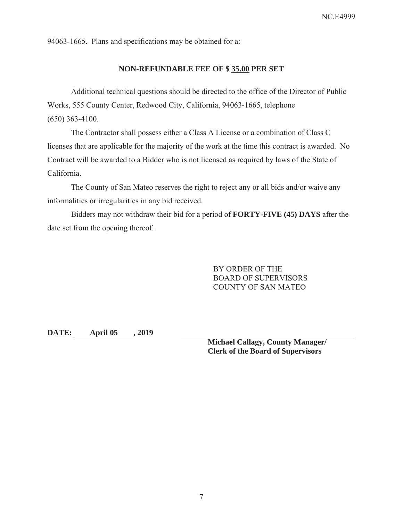94063-1665. Plans and specifications may be obtained for a:

### **NON-REFUNDABLE FEE OF \$ 35.00 PER SET**

Additional technical questions should be directed to the office of the Director of Public Works, 555 County Center, Redwood City, California, 94063-1665, telephone (650) 363-4100.

The Contractor shall possess either a Class A License or a combination of Class C licenses that are applicable for the majority of the work at the time this contract is awarded. No Contract will be awarded to a Bidder who is not licensed as required by laws of the State of California.

The County of San Mateo reserves the right to reject any or all bids and/or waive any informalities or irregularities in any bid received.

Bidders may not withdraw their bid for a period of **FORTY-FIVE (45) DAYS** after the date set from the opening thereof.

> BY ORDER OF THE BOARD OF SUPERVISORS COUNTY OF SAN MATEO

**DATE: April 05 , 2019** 

**Michael Callagy, County Manager/ Clerk of the Board of Supervisors**